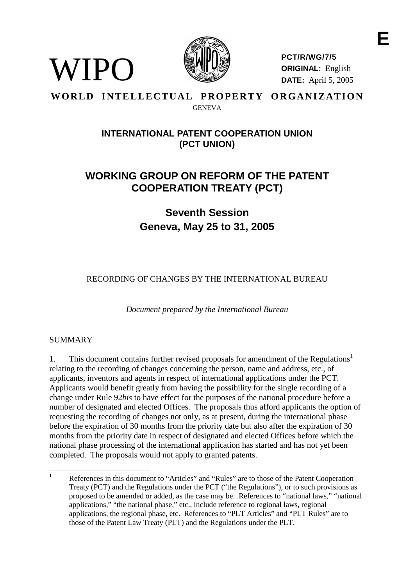

**PCT/R/WG/7/5 ORIGINAL:** English **DATE:** April 5, 2005

**E**

# **WORLD INTELLECTUAL PROPERTY ORGANIZATION GENEVA**

# **INTERNATIONALPATENT COOPERATIONUNION (PCT UNION)**

# **WORKING GROUP ON REF ORM OF THE PATENT COOPERATION TREATY ( PCT)**

# **Seventh Session Geneva, May 25 to 31, 2005**

RECORDING OF CHANGES BY THE INTERNATIONA LEUREAU

*Document prepared by the International Bureau*

# SUMMARY

WIPO

1. This document contains further revised proposals for amendment of the Regulations<sup>1</sup> relating to the recording of changes concerning the person, name and address, etc., of applicants, inventors and agents in respect of international applications under the PCT. Applicants would benefit greatly from having the possibility for the single recording of a change under Rule 92*bis* to have effect for the purposes of the national procedure before a number of designated and elected Offices. The proposals thus afford applicants the option of requesting the recording of changes not only, as at presen t, during the international phase before the expiration of 30 months from the priority date but also after the expiration of 30 months from the priority date in respect of designated and elected Offices before which the national phase processing of the int ernational application has started and has not yet been completed. The proposals would not apply to granted patents.

<sup>&</sup>lt;sup>1</sup> References in this document to "Articles" and "Rules" are to those of the Patent Cooperation Treaty (PCT) and the Regulations under the PCT ("t he Regulations"), or to such provisions as proposed to be amended or added, as the case may be. References to "national laws," "national applications,""thenationalphase," etc., include reference to regional laws, regional applications, the regional pha se, etc. References to "PLT Articles" and "PLT Rules" are to those of the Patent Law Treaty (PLT) and the Regulations under the PLT.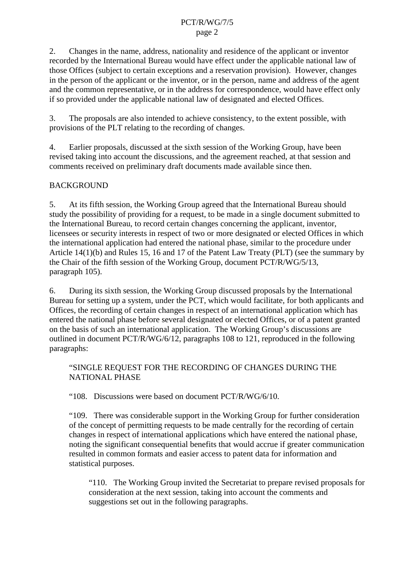2. Changes in the name, address, nationality and residence of the applicant or inventor recorded by the Internatio nal Bureau would have effect under the applicable national law of those Offices (subject to certain exceptions and a reservation provision). However, changes in the person of the applicant or the inventor, or in the person, name and address of the agent and the common representative, or in the address for correspondence, would have effect only if so provided under the applicable national law of designated and elected Offices.

3. The proposal sare also intended to achieve consistenc v, to the extent possible, with provisions of the PLT relating to the recording of changes.

4. Earlier proposals, discussed at the sixth session of the Working Group, have been revised taking into account the discussions, and the a greement reached, at that session and comments received on preliminary draft documents made available since then.

# BACKGROUND

5. At its fifth session, the Working Group agreed that the International Bureau should study the possibil ity of providing for a request, to be made inasingled ocuments ubmitted to the International Bureau, to record certain changes concerning the applicant, inventor, licensees or security interests in respect of two or more designated or elected Offices in which the international application had entered the national phase, similar to the procedure under Article 14(1)(b) and Rules 15, 16 and 17 of the Patent Law Treaty (PLT) (see the summary by the Chair of the fifth session of the Working Group, document PCT /R/WG/5/13, paragraph 105).

6. During its sixth session, the Working Group discussed proposals by the International Bureauforsetting up a system, under the PCT, which would facilitate, for both applicants and Offices, the recordi ng of certain changes in respect of an international application which has entered the national phase before several designated or elected Offices, or of a patent granted on the basis of such an international application. The Working Group's discussions a re outlined indocument  $PCT/R/WG/6/12$ , paragraphs 108 to 121, reproduced in the following paragraphs:

"SINGLEREQUESTFORTHERECORDINGOFCHANGESDURINGTHE NATIONAL PHASE

"108. Discussions were based on document PCT/R/WG/6/10.

"109. There was consider able support in the Working Group for further consideration of the concept of permitting requests to be made centrally for the recording of certain changes in respect of international applications which have entered the national phase, noting the significant consequential benefits that would accrue if greater communication resulted in common formats and easier access to patent data for information and statistical purposes.

"110. The Working Group invited the Secretariat to prepare revised proposals for consideration at the next session, taking into account the comments and suggestions set out in the following paragraphs.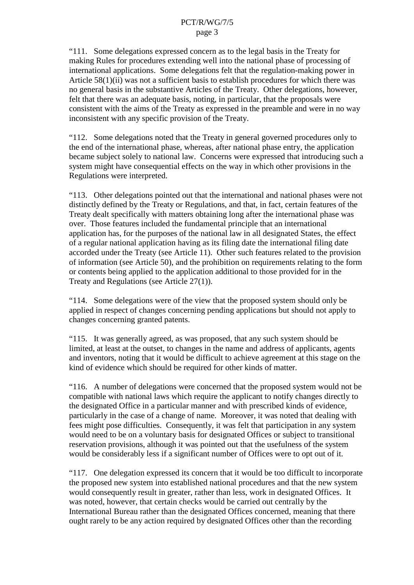"111. Somedelegations expressed concernast othe legal basis in the Treaty for making Rules for procedures extending well into the national phase of processing of international applications. Some delegations felt that the regulation -making power in Article 58(1)(ii) was not a sufficient basis to establish procedures for which there was no general basis in the substantive Articles of the Treaty. Other delegations, however, felt that there was an adequate basis, noting, in particular, that the proposals were consistent with the aims of the Treaty as expressed in the preamble and were in no way inconsistent with any specific provision of the Treaty.

"112. Some delegations noted that the Treaty in general governed procedures only to the end of the international phase, whereas, after national phase entry, the application became subjects of elytonational law. Concerns were expressed that in troducing such a system might have consequential effects on the way in which other provisions in the Regulations were interpreted.

"113. Other delegations pointed out that the international and national phases were not<br>distinctly defined by the Treaty or Regulations, and that, in fact, certain features of the Regulations, and that, in fact, certain features of the Treaty dealt specifically with matters obtaining long after the international phase was over. Those features included the fundamental principle that an international application has, for the purposes of the national law in all designated States, the effect of a regular national application having as its filing date the international filing date accorded under the Treaty (see Article 11). Other such features related to the provision of information (se eArticle 50), and the prohibition on requirements relating to the form or contents being applied to the application additional to those provided for in the Treaty and Regulations (see Article  $27(1)$ ).

"114. Some delegations were of the view that the propone sed system should only be applied in respect of changes concerning pending applications but should not apply to changes concerning granted patents.

"115. It was generally agreed, as was proposed, that any such system should be limited, at least at the out set, to change sinthe name and address of applicants, agents and inventors, noting that it would be difficult to achieve agreement at this stage on the kind of evidence which should be required for other kinds of matter.

"116. Anumber of delegations wer econcerned that the proposed system would not be compatible with national laws which require the applicant to notify changes directly to the designated Office in a particular manner and with prescribed kinds of evidence, particularly in the case of a chan geof name. Moreover, it was noted that dealing with fees might pose difficulties. Consequently, it was felt that participation in any system would need to be on a voluntary basis for designated Offices or subject to transitional reservation provisions, although it was pointed out that the usefulness of the system would be considerably less if a significant number of Offices were to opt out of it.

"117. One delegation expressed its concern that it would be too difficult to incorporate the proposed new sy stem into established national procedures and that the new system would consequently resulting reater, rather than less, workind esignated Offices. It was noted, however, that certain checks would be carried out centrally by the International Bureaurat her than the designated Offices concerned, meaning that there ought rarely to be any action required by designated Offices other than the recording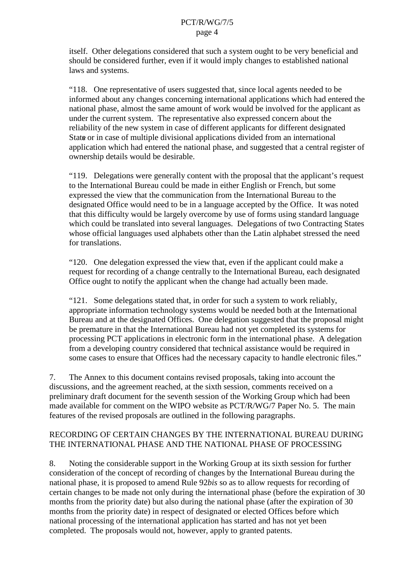itself. Other delegations considered that such as ystem ought to be very beneficial and should be consider ed further, even if it would imply changes to established national laws and systems.

"118. One representative of users suggested that, since local agents needed to be informed about any changes concerning international applications which had entered the national phase, almost the same amount of work would be involved for the applicant as under the currents vstem. There presentative also expressed concernabout the reliability of the new system in case of different applicants for different designated Stateorincase of multiple divisional applications divided from an international application which had entered the national phase, and suggested that acentral register of ownership details would be desirable.

"119. Delegations were generally content with the proposal that the applicant's request to the International Bureau could be made in either English or French, but some expressed the view that the communication from the International Bureau to the designated Office would need to be in a language accepte d by the Office. It was noted that this difficulty would be largely overcome by use of forms using standard language which could be translated into several languages. Delegations of two Contracting States whose official languages used alphabets other tha nthe Latin alphabets tressed the need fortranslations.

"120. One delegation expressed the view that, even if the applicant could make a request for recording of a change centrally to the International Bureau, each designated Office ought to notify the a pplicant when the change had actually been made.

"121. Some delegations stated that, in order for such as ystem to work reliably, appropriate information technology systems would be needed both at the International Bureau and at the designated Offices. O nedelegation suggested that the proposal might be premature in that the International Bureau had not vet completed its systems for processing PCT applications in electronic form in the international phase. A delegation from a developing country considere dthat technical assistance would be required in some cases to ensure that Offices had the necessary capacity to handle electronic files."

7. The Annex to this document contains revised proposals, taking into account the discussions, and the agreement reached, at the sixth session, comments received on a preliminary draft document for these venthsession of the Working Group which had been made available for comment on the WIPO website as PCT/R/WG/7 Paper No. 5. The main features of the revised proposals are outlined in the following paragraphs.

# RECORDING OF CERTAIN CHANGES BY THE INTERNATIONAL BUREAU DURING THE INTERNATIONAL PHASE AND THE NATIONAL PHASE OF PROCESSING

8. Noting the considerable support in the Working Group at its sixth session for further consideration of the concept of recording of changes by the International Bureau during the national phase, it is proposed to amend Rule 92*bis* so as to allow requests for recording of certain changes to be made not only during the international phase (before the expiration of 30 months from the priority date) but also during the national phase (after the expiration of 30 months from the priority date) in respect of designated or elected Offices before which national processing of the international application has started and has not vet been completed. The proposals would not, however, apply to granted patents.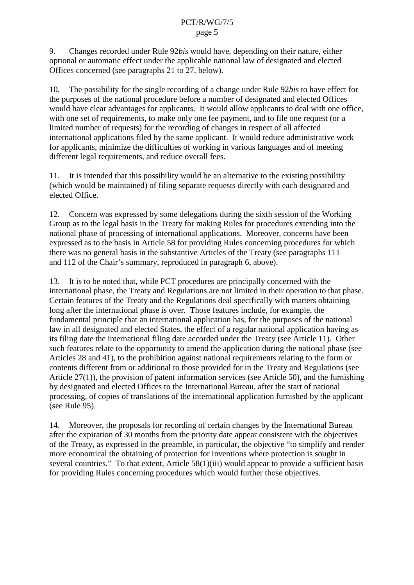9. Changes recorded under Rule 92*bis* would have, depending on their nature either optional or automatic effect under the applicable national law of designated and elected Offices concerned (see paragraphs 21 to 27, below).

10. The possibility for the single recording of a change under Rule 92*bis* to have effect for the purposes of the national procedure before a number of designated and elected Offices would have clear advantages for applicants. It would allow applican ts to deal with one office, with one set of requirements, to make only one fee payment, and to file one request (or a limited number of requests) for the recording of changes in respect of all affected international applications filed by the same applicant . It would reduce administrative work for applicants, minimize the difficulties of working invarious languages and of meeting different legal requirements, and reduce overall fees.

11. It is intended that this possibility would be an alternative to the existing possibility (which would be maintained) of filing separate requests directly with each designated and elected Office.

12. Concernwasexpressed by some delegations during the sixthsession of the Work ing Groupastothe legal basis in the Treaty for making Rules for procedures extending into the national phase of processing of international applications. Moreover, concerns have been expressed as to the basis in Article 58 for providing Rules concernin g procedures for which there was no general basis in the substantive Articles of the Treaty (see paragraphs 111 and 112 of the Chair's summary, reproduced in paragraph 6, above).

13. It is to be noted that, while PCT procedures are principally concerned with the international phase, the Treaty and Regulations are not limited in their operation to that phase. Certain features of the Treaty and the Regulations deals pecifically with matters obtaining long after the international phase is over. Those features include, for example, the fundamental principle that an international application has, for the purposes of the national lawin all designated and elected States, the effect of a regular national application having as its filing date the international filing date accorded under the Treaty (see Article 11). Other such features relate to the opportunity to amend the application during the national phase (see Articles 28 and 41), to the proh ibition against national requirements relating to the form or contents different from or additional to those provided for in the Treaty and Regulations (see Article  $27(1)$ ), the provision of patent information services (see Article  $50$ ), and the furnishing by designated and elected Offices to the International Bureau, after the start of national processing, of copies of translations of the international application furnished by the applicant  $(see Rule 95).$ 

14. Moreover, the proposals f or recording of certain changes by the International Bureau after the expiration of 30 months from the priority date appear consistent with the objectives of the Treaty, as expressed in the preamble, in particular, the objective "to simplify and render more economical the obtaining of protection for inventions where protection is sought in  $several countries. "To that extent, Article 58(1)(iii) would appear to provide a sufficient basis$ for providing Rules concerning procedures which would further those obj ectives.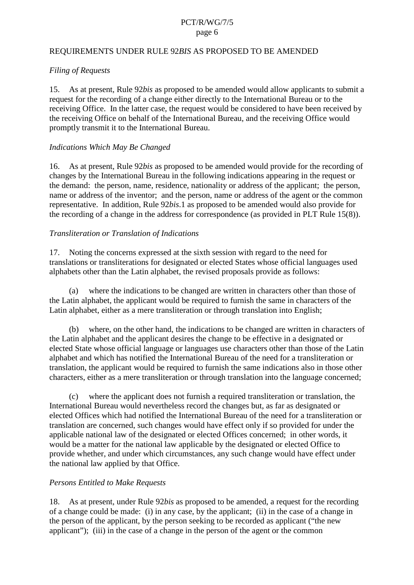#### REQUIREMENTS UNDER RULE 92 *BISASPROPOSED TO BEAMENDED*

#### *Filing of Requests*

15. As at present, Rule 92*bis* as proposed to be amended would allow applicants to submita request for the recording of a change either directly to the International Bureau or to the receiving Office. In the latter case, the request would be considered to have been received by the receiving Office on behalf of the International Bureau, and the receiving Office would promptly transmitit to the Int ernational Bureau.

#### *Indications Which May Be Changed*

16. As at present, Rule 92*bis* as proposed to be a member of determined the recording of changes by the International Bureau in the following indications appearing in the reques tor the demand: the person, name, residence, nationality or address of the applicant; the person, name or address of the inventor; and the person, name or address of the agent or the common representative. In addition, Rule 92*bis*. 1 as proposed to be a mended would also provide for the recording of a change in the address for correspondence (as provided in PLT Rule  $15(8)$ ).

#### *Transliteration or Translation of Indications*

17. Noting the concerns expressed at the sixth session with regard to the need for translations or transliterations for designated or elected States whose official languages used alphabets other than the Latin alphabet, the revised proposals provide as follows:

(a) where the indications to be changed are written in characters other than those of the Latin alphabet, the applicant would be required to furnish the same incharacters of the Latin alphabet, either as a mere transliteration or through translation into English;

(b) where, on the other hand, the indications to be changed are written in characters of the Latin alphabet and the applicant desires the change to be effective in a designated or elected State whose official language or languages use characters other than those of the Latin alphabet and which has no tified the International Bureau of the need for a transliteration or translation, the applicant would be required to furnish the same indications also in those other characters, either as a mere transliteration or through translation into the language conc erned;

(c) where the applicant does not furnish a required transliteration or translation, the International Bureau would nevertheless record the changes but, as far as designated or elected Offices which had notified the International Bureau of the need for a transliteration or translation are concerned, such changes would have effect only if so provided for under the applicable national law of the designated or elected Offices concerned; in other words, it would be a matter for the national law applicab le by the designated or elected Office to provide whether, and under which circumstances, any such change would have effect under the national law applied by that Office.

#### *Persons Entitled to Make Requests*

18. As at present, under R ule 92*bis* as proposed to be amended, are quest for the recording of a change could be made: (i) in any case, by the applicant; (ii) in the case of a change in the person of the applicant, by the person seeking to be recorded as applicant ("the new applicant"); (iii) in the case of a change in the person of the agent or the common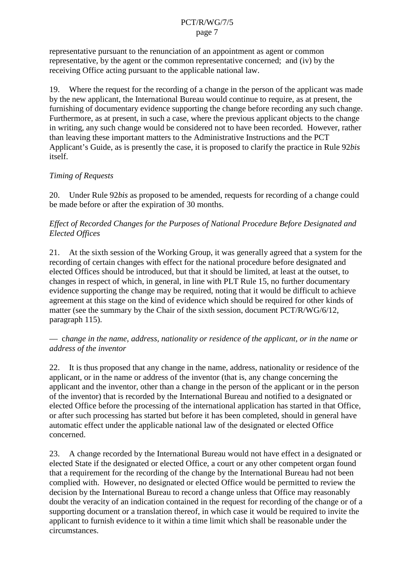representative pursuant to the renunciation of an appointment as a gent or common representative, by the agent or the common representative concerned; and (iv) by the receiving Office acting pursuant to the applicable national law.

19. Where the request for the recording of a change in the person of the applicant was made by the new applicant, the International Bureau would continue to require, as at prese nt, the furnishing of documentary evidences upporting the change before recording any such change. Furthermore, as a to resent, in such a case, where the previous applicant objects to the change in writing, any such change would be considered not to have b een recorded. However, rather than leaving these important matters to the Administrative Instructions and the PCT Applicant's Guide, as is presently the case, it is proposed to clarify the practice in Rule 92*bis* itself.

# *Timing of Requests*

20. Under Rule 92 *bisas proposed* to be amended, requests for recording of a change could be made before or after the expiration of 30 months.

### *Effect of Recorded Changes for the Purposes of National Procedure Before Designated and Elected Offices*

21. At the sixtheses is on of the Working Group, it was generally agreed that as ystem for the recording of certain changes with effect for the national procedure before designated and elected Offices should be introduced, but that it should be limited, at least at the outset, to changes in respect of which, in general, in line with PLT Rule 15, no further documentary evidence supporting the change may be required, noting that it would be difficult to achieve agreement at this stage on the kind of evidence which should be required for other kinds of matter (see the summary by the Chair of the sixth session, document PCT/R/WG/6/12, paragraph 115).

#### — c*hange in the name, address, nationality or residence of the applicant, or in the name or address of the inventor*

22. Itisthus proposed that any change in the name, address, nationality or residence of the applicant, or in the name or address of the inventor (that is, any change concerning the applicant and the inve ntor, other than a change in the person of the applicant or in the person of the inventor) that is recorded by the International Bureau and notified to a designated or elected Office before the processing of the international application has started in that to ffice, or after such processing has started but before it has been completed, should in general have automatic effect under the applicable national law of the designated or elected Office concerned.

23. A change recorded by the I nternational Bureau would not have effect in a designated or elected State if the designated or elected Office, a court or any other competent organ found that a requirement for the recording of the change by the International Bureau had not been complied with. However, nodesignated or elected Office would be permitted to review the decision by the International Bureau to record a change unless that Office may reasonably doubt the veracity of an indication contained in the request for recording of the channels are nge or of a supporting document or a translation thereof, in which case it would be required to invite the applicant to furnish evidence to it within a time limit which shall be reasonable under the circumstances.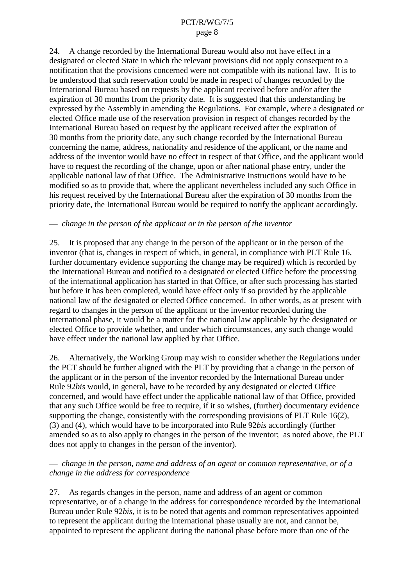24. A change record ed by the International Bureau would also not have effectina designated or elected State in which the relevant provisions did not apply consequent to a notification that the provisions concerned were not compatible with its national law. It is to be und erstood that such reservation could be made in respect of changes recorded by the International Bureau based on requests by the applicant received before and/or after the expiration of 30 months from the priority date. It is suggested that this understand ing be expressed by the Assembly in amending the Regulations. For example, where a designated or elected Office made use of the reservation provision in respect of changes recorded by the International Bureau based on request by the applicant received aft er the expiration of 30 months from the priority date, any such change recorded by the International Bureau concerning the name, address, nationality and residence of the applicant, or the name and address of the inventor would have no effect in respect of that Office, and the applicant would have to request the recording of the change, upon or after national phase entry, under the applicablenationallaw of that Office. The Administrative Instructions would have to be modified so as to provide that, where the applicant nevertheless included any such Office in his request received by the International Bureau after the expiration of 30 months from the priority date, the International Bureau would be required to notify the applicant accordingly.

#### — *change in the person of the applicant or in the person of the inventor*

25. It is proposed that any change in the person of the applicant or in the person of the inventor (that is, changes in respect of which, in general, in compliance with P LT Rule 16, furtherdocumentary evidences upporting the change may be required) which is recorded by the International Bureau and notified to a designated or elected Office before the processing of the international application has started in that Office, orafter such processing has started but before it has been completed, would have effect only if so provided by the applicable national law of the designated or elected Office concerned. In other words, as at present with regard to changes in the person of the applicant or the inventor recorded during the international phase, it would be a matter for the national law applicable by the designated or elected Office to provide whether, and under which circumstances, any such change would have effect under the national law applied by that Office.

26. Alternatively, the Working Group may wish to consider whether the Regulations under the PCT should be further aligned with the PLT by providing that a change in the person of the applicant o rin the person of the inventor recorded by the International Bureau under Rule 92*bis* would, in general, have to be recorded by any designated or elected Office concerned, and would have effect under the applicable national law of that Office, provided that any such Office would be free to require, if it so wishes, (further) documentary evidence supporting the change, consistently with the corresponding provisions of PLT Rule 16(2), (3) and (4), which would have to be incorporated into Rule 92*bis* according ly (further amended so as to also apply to change sinthe person of the inventor; as noted above, the PLT does not apply to change sinthe person of the inventor).

#### — *change in the person, name and address of an agent or common representative, or of a change in the address for correspondence*

27. As regards changes in the person, name and address of an agent or common representative, or of a change in the address for correspondence recorded by the International Bureau under Rule 92*bis*, it is to be noted that agents and common representatives appointed to represent the applicant during the international phase usually are not, and cannot be, appointed to represent the applicant during the national phase before more than one of the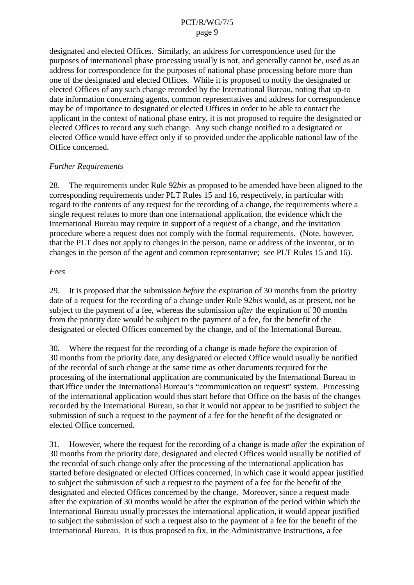designated and elected Offices. Similarly, anaddress for correspondence used for the purposes of international phase processing usually is not, and generally cannot be, used as an address for correspondence for the purposes of national phase processing befor emore than one of the designated and elected Offices. While it is proposed to notify the designated or elected Offices of any such change recorded by the International Bureau, noting that up  $-$ to date information concerning agents, common representatives a nd address for correspondence may be of importance to designated or elected Offices in order to be able to contact the applicant in the context of national phase entry, it is not proposed to require the designated or elected Offices to record any such change. Any such change notified to a designated or electedOfficewouldhaveeffectonlyifsoprovided under the applicable national law of the Office concerned.

#### *Further Requirements*

28. The requirements under Rule 92*bis* as proposed to be amended have been aligned to the corresponding requirements under PLT Rules 15 and 16, respectively, in particular with regard to the contents of any request for the recording of a change, the requirements where a single request relates to more than one international application, the evidence which the International Bureau may require in support of a request of a change, and the invitation procedure where a request does not comply with the formal requirements. (Note, however, that the PLT does not a pply to change sin the person, name or address of the inventor, or to changes in the person of the agent and common representative; see PLT Rules 15 and 16).

#### *Fees*

29. Itis proposed that the submission *before* the expiration of 30 months from the priority date of a request for the recording of a change under Rule 92*bis* would, as a tpresent, not be subject to the payment of a fee, whereas the submission *after* the expiration of 30 months from the priority date would be subject to the payment of a fee. for the benefit of the from the priority date would be subject to the designated or elected Offices concerned by the change, and of the International Bureau.

30. Where the request forthere cording of a change is made *before* the expiration of 30 months from the priority date, any designated or elected Office would usually be notified of the recordal of such change at the same time as other documents required for the processing of the international application are communicated by the International Bureau to that Office under the International Bureau's "communication on request" system. Processing of the international application would thus start before that Office on the basis of the changes recorded by the International Bureau, so that it would not appear to be justified to subject the submission of such a request to the payment of a fee for the benefit of the designated or elected Office concerned.

31. However, where the request forthere cording of a change is made *after* the expiration of 30 months from the priority date, designated and elected Offices would usually be notified of the recordal of such change only after the processing of the international application has started before designated or elected Offices concerned, in which case eit would appear justified to subject the submission of such a request to the payment of a fee for the benefit of the designated and elected Offices concerned by the change. Moreover, since a request made after the expiration of 30 months would be after the expiration of the period within which the International Bureau usually processes the international application, it would appear justified to subject the submission of such a requestals oto the payment of a fee for the benefit of the International Bure au. It is thus proposed to fix, in the Administrative Instructions, a fee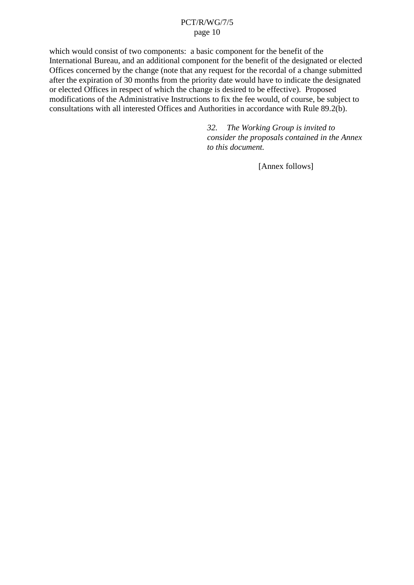which would consist of two components: a basic component for the benefit of the International Bureau, and an additional component for the benefit of the designated or elected Offices concerned by the change (note that any request for the recordal of a changes ubmitted after the expiration of 30 months from the priority date would have to indicate the designated or elected Offices in respect of which the change is desired to be effec tive). Proposed modifications of the Administrative Instructions to fix the fee would, of course, be subject to<br>consultations with all interested Offices and Authorities in accordance with Rule 89.2(b). consultations with all interested Offices and Authorities in accordance with Rule

> 32. The Working Group is *inv ited to consider the proposals contained in the Annex to this document.*

> > [Annex follows]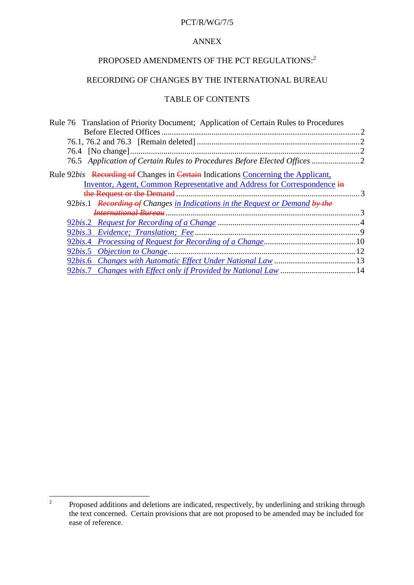#### PCT/R/WG/7/5

# ANNEX

# PROPOSED AMENDMENTS OF THE PCT REGULATIONS:  $2$

### RECORDING OF CHANGES BY THE INTERNATIONAL BUREAU

#### TABLEOF CONTENTS

| Rule76TranslationofPriorityDocument;ApplicationofCertainRulestoProcedures       |    |
|---------------------------------------------------------------------------------|----|
|                                                                                 |    |
|                                                                                 |    |
|                                                                                 |    |
| 76.5 Application of Certain Rulest oProcedures Before Elected Offices           |    |
| Rule92 bis Recording of Changesin Certain Indications Concerning the Applicant, |    |
| Inventor, Agent, Common Representative and Addressfor C orrespondence in        |    |
|                                                                                 |    |
| 92bis.1 Recording of Changes in Indications in the Request or Demand by the     |    |
|                                                                                 |    |
|                                                                                 |    |
|                                                                                 |    |
| 92bis.4 ProcessingofRequestforRecordingofaChange [10] manuscular 10             |    |
|                                                                                 | 12 |
|                                                                                 |    |
| 92bis.7 ChangeswithEffectonlyifProvidedbyNationalLaw                            |    |

<sup>&</sup>lt;sup>2</sup> Proposed additions and deletions are indicated, respectively, by underlining and striking through the text concerned. Certain provisions that are not proposed to be amended may be included for ease of reference.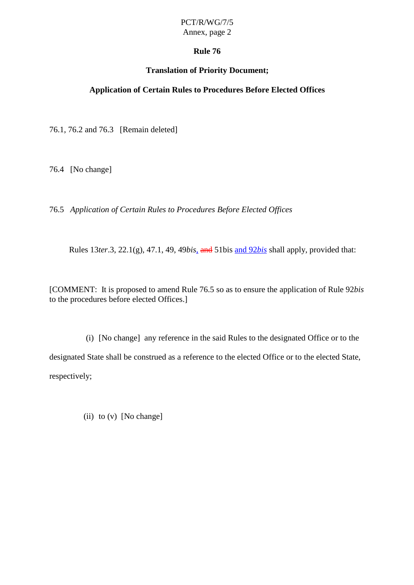# PCT/R/WG/7/5

Annex, page 2

# **Rule 76**

# **Translation of Priority Document;**

**Application of Certain Rules to Pr ocedures Before Elected Offices**

76.1, 76.2 and 76.3 [Remain deleted]

76.4 [Nochange]

76.5 *Application of Certain Rules to Procedures Before Elected Offices*

Rules 13 *ter*.3, 22.1(g), 47.1, 49, 49 *bis*, and 51 bis and 92 *bisshall apply*, provided that:

[COMMENT: It is proposed to amend Rule 76.5 so as to ensure the application of Rule 92*bis* to the procedures before elected Offices.]

(i) [Nochange] any reference in the said Rules to the designated Office or to the designated Stateshall be construed as a reference to the elected Office or to the elected State, respectively;

(ii)  $to (v)$  [No change]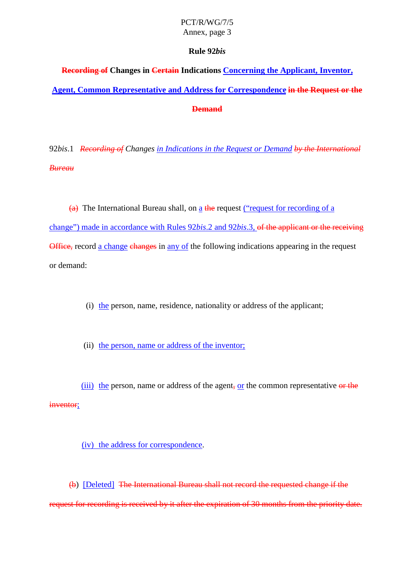# PCT/R/WG/7/5

Annex, page 3

# **Rule 92** *bis*

**Recording of Changesin** Certain Indications Concerning the Applicant, Inventor, **Agent, Common Representative and Address for Correspondence** in the Requestor the – **Demand**

92*bis*.1 *Recording of Changes in Indications in the Request or Demand by the International Bureau*

 $\overline{a}$ ) The International Bureau shall, on a the request ("request for recording of a change") made in accordance with Rules 92*bis*.2 and 92*bis* .3, of the applicant or the receiving  $-$ Office, record a change changes in any of the following indications appearing in the request ordemand:

(i) the person, name, residence, nationality or address of the applicant;

(ii) the person, name or addres softhe inventor;

(iii) the person, name or address of the agent  $\frac{1}{2}$ , or the common representative or the inventor;

(iv) the address for correspondence.

(b) [Deleted] The International Bureaushall not record the requested change if the requestforrecor dingisreceived by itafter the expiration of 30 months from the priority date.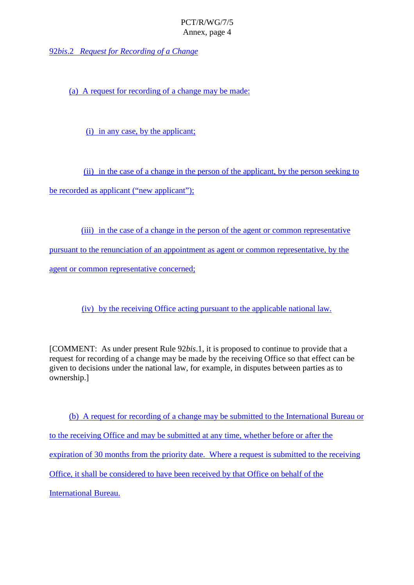92*bis*.2 *Request for Recording of a Change*

(a) A request for recording of a change may be made:

(i) in any case, by the applicant;

(ii) in the case of a change in the per son of the applicant, by the person seeking to berecorded as applicant ("new applicant");

(iii) in the case of a change in the person of the agent or common representative pursuant to the renunciation of an appointment as a gent or common representative, by the agent or common representative concerned;

(iv) by the receiving Office acting pursuant to the applicable national law.

[COMMENT: As under present Rule 92*bis*.1, it is proposed to continue to provide that a request for recording of a change may be m ade by the receiving Office so that effect can be given to decisions under the national law, for example, in disputes between parties as to ownership.]

(b) A request for recording of a change may be submitted to the International Bureau or to the receiving Office and may be submitted at any time, whether before or after the expiration of 30 months from the priority date. Where are questissub mitted to the receiving Office, it shall be considered to have been received by that Office on behalf of the International Bureau.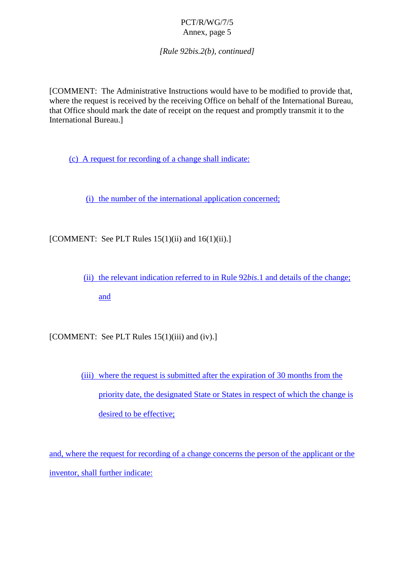*[Rule 92bis.2(b), continued]*

[COMMENT: The Administrative Instructions would have to be modified to provide that, where the requestis received by the receiving Office on behalf of the International Bureau, that Office should mark the da te of receipt on the requestand promptly transmitit to the International Bureau.]

(c) A request for recording of a changes hall indicate:

(i) the number of the international application concerned;

 $[COMMENT: See PLTRules 15(1)(ii) and 16(1)(ii).]$ 

(ii) the relevant indication referred to in Rule 92*bis*.1 and details of the change;

and

[COMMENT:SeePLTRules15(1)(iii)and(iv).]

(iii) where the requestissubmitted after the expiration of 30 months from the priority date, the designated State or St ates in respect of which the change is desired to be effective;

and, where the request for recording of a change concerns the person of the applicant or the inventor, shall further indicate: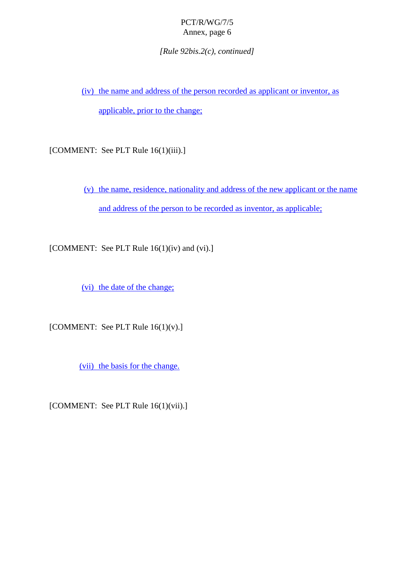*[Rule 92bis.2(c), continued]*

(iv) the name and address of the performance or ded as applicant or inventor, as

applicable, prior to the change;

[COMMENT:SeePLTRule16(1)(iii).]

(v) the name, residence, nationality and address of the new applicant or the name and address of the person to be recorded as inventor, as app licable;

 $[COMMENT: See PLTRule16(1)(iv) and (vi).]$ 

(vi) the date of the change;

 $[COMMENT: See PLTRule16(1)(v).]$ 

(vii) the basis for the change.

[COMMENT:SeePLTRule16(1)(vii).]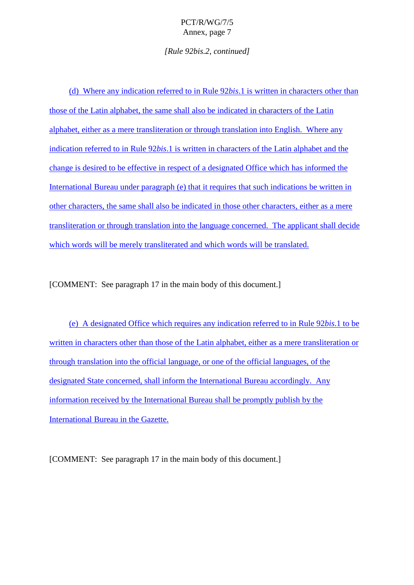*[Rule 92bis.2, continued]*

(d) Where any indication referred to in Rule 92 *bis*.1 is written incharacters other than those of the Latin alphabet, the same shall also be indicated in characters of the Latin alphabet, either as a mere transliteration or through translation into English. Where any indication referred to in Rule 92 *bis*. 1 is written incharacters of the Latin alphabet and the change is desired to be effective in respect of a designated Office which has informed the International Bureau under paragraph (e) that it requires that such indications be written in other characters, the same shall also be indicated in those other characters, either as a mere transliteration or through translation into the language concerned. The applicant shall decide which words will be merely transliterated and which words will be translated.

[COMMENT:Seeparagraph 17inthemainbody of this document.]

(e) A designated Office which requires any indication referred to in Rule 92*bis*.1 to be written incharacters other than those of the La tinal phabet, either as a mere transliteration or through translation into the official language, or one of the official languages, of the designated State concerned, shall inform the International Bureau accordingly. Any information received by the Inter national Bureau shall be promptly publish by the International Bureau in the Gazette.

[COMMENT:Seeparagraph 17 in the main body of this document.]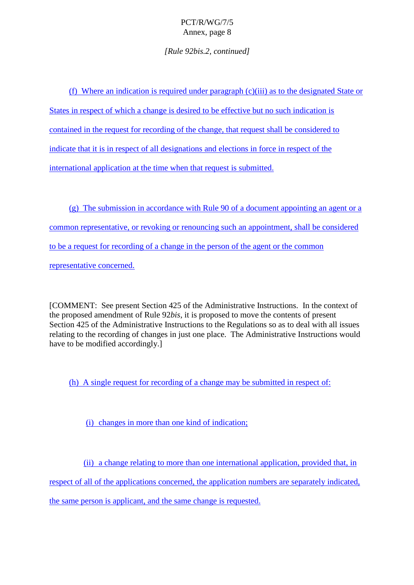*[Rule 92bis.2, continued]*

(f) Where an indication is require dunder paragraph  $(c)(iii)$  as to the designated State or States in respect of which a change is desired to be effective but no such indication is contained in the request for recording of the change, that requests hall be considered to indicate that it is innespect of all designations and elections in force in respect of the international application at the time when that requestissubmitted.

 $(g)$  The submission in accordance with Rule 90 of a document appointing an agent or a common representative, or r evoking or renouncing such an appointment, shall be considered to be a request for recording of a change in the person of the agent or the common representative concerned.

[COMMENT:Seepresent Section 425 of the Administrative Instructions. In the conte xtof the proposed amendment of Rule 92*bis*, it is proposed to move the contents of present Section 425 of the Administrative Instructions to the Regulations so as to deal with all issues relating to the recording of changes in just one place. The Administ rative Instructions would have to be modified accordingly.

(h) A single request for recording of a change may be submitted in respect of:

(i) changes in more than one kind of indication:

(ii) a change relating to more than one international applicatio n, provided that, in

respect of all of the applications concerned, the application numbers are separately indicated,

the same person is applicant, and the same change is requested.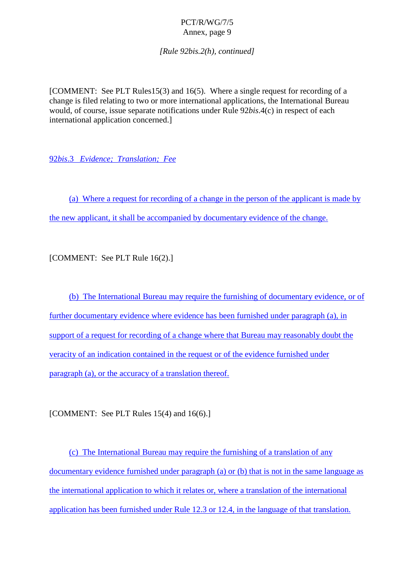*[Rule 92bis.2(h), continued]*

[COMMENT: See PLT Rules15(3) and 16(5). Wher e a single request for recording of a change is filed relating to two or more international applications, the International Bureau would, of course, issue separate notifications under Rule 92*bis*.4(c) in respect of each international application concerned.]

92*bis*.3 *Evidence; Translation; Fee*

(a) Where a request for recording of a change in the person of the applicant is made by the new applicant, itshall be accompanied by documentary evidence of the change.

[COMMENT:SeePLTRule16(2).]

(b) The International Bureau may require the furnishing of documentary evidence, or of furtherdocumentary evidence where evidence has been furnished under paragraph (a), in support of a request for recording of a change where that Bureau may reasonably doubt the veracity of an indication contained in the request or of the evidence furnished under paragraph (a), orthe accuracy of a translation thereof.

[COMMENT:SeePLTRules15(4)and16(6).]

(c) The International Bureau may require the furnishing of a translation on of any documentary evidence furnished under paragraph (a) or (b) that is not in the same language as the international application to which it relates or, where a translation of the international application has been furnished under Rule 12.3 or 12.4, in the language of that translation.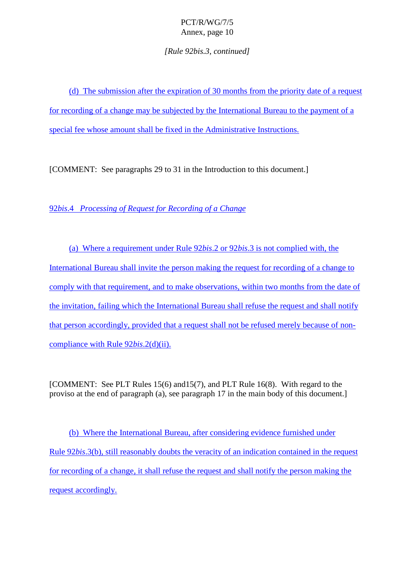*[Rule 92bis.3, continued]*

(d) The submission after the expiration of 30 months from the priority date of a request for recording of a change may be subjected by the International Bureau to the payment of a special fee whose amount shall be fixed in the Administrative Instructions.

[COMMENT:Seeparagraphs 29to 31intheIntroductiontothisdocument.]

92*bis*.4 *Processing of Reques t for Recording of a Change*

(a) Where a requirement under Rule 92*bis*.2 or 92*bis*.3 is not complied with, the International Bureau shall invite the person making the request for recording of a change to comply with that requirement, and to make observation s, with in two months from the date of the invitation, failing which the International Bureau shall refuse the request and shall notify that person accordingly, provided that are quest shall not be refused merely because of non compliance with Rule 92*bis*. 2(d)(ii).

[COMMENT:SeePLTRules15(6) and 15(7), and PLT Rule 16(8). With regard to the  $proviso at the end of para graph (a), see para graph 17 in the main body of this document.$ 

(b) Where the International Bur eau, after considering evidence furnished under Rule 92*bis*.3(b), still reasonably doubts the veracity of an indication contained in the request for recording of a change, it shall refuse the request and shall notify the person making the request according 1y.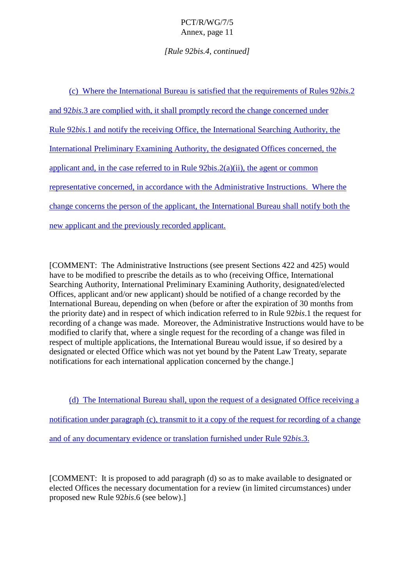# *[Rule 92bis.4, continued]*

| WheretheInternationalBureauissatisfiedthattherequirementsofRules<br>(c)                  | 92bis.2 |
|------------------------------------------------------------------------------------------|---------|
| and 92bis.3arecompliedwith,itshallpromptlyrecordthechangeconcernedunder                  |         |
| Rule 92bis.1andnotifythereceivingOffice,theInter<br>nationalSearchingAuthority,the       |         |
| InternationalPreliminaryExaminingAuthority,thedesignatedOfficesconcerned,the             |         |
| applicantand, inthe case referred to in Rule<br>$92bis.2(a)(ii)$ , the agent or common   |         |
| representative concerned, in accordance with the Admin<br>istrativeInstructions.Wherethe |         |
| changeconcernsthepersonoftheapplicant, the International Bureaushall notify both the     |         |
| newapplicantandthepreviouslyrecordedapplicant.                                           |         |

[COMMENT: The Administrative Instructions (see present Sections 422 and 425) would have to be modified to prescribe the details as to who (receiving Office, International Searching Authority, International Preliminary Examining Authority, designated/elected Offices, applicant and/or new applicant) should be notified of a changer ecorded by the International Bureau, depending on when (before or after the expiration of 30 months from the priority date) and in respect of which indication referred to in Rule 92*bis*. 1 the request for recording of a change was made. Moreover, the Admini strative Instructions would have to be modified to clarify that, where a single request for the recording of a change was filed in respect of multiple applications, the International Bureau would issue, if so desired by a designated or elected Office which was not yet bound by the Patent Law Treaty, separate notifications for each international application concerned by the change. 1

(d) The International Bureau shall, upon the request of a designated Office receiving a notification under paragraph (c), tra nsmitto it a copy of the request for recording of a change and of any documentary evidence or translation furnished under Rule 92*bis*.3.

[COMMENT:Itisproposedtoaddparagraph(d)soastomakeavailabletodesignatedor elected Offices the necessary d ocumentation for a review (in limited circumstances) under proposed new Rule 92*bis*.6 (see below).]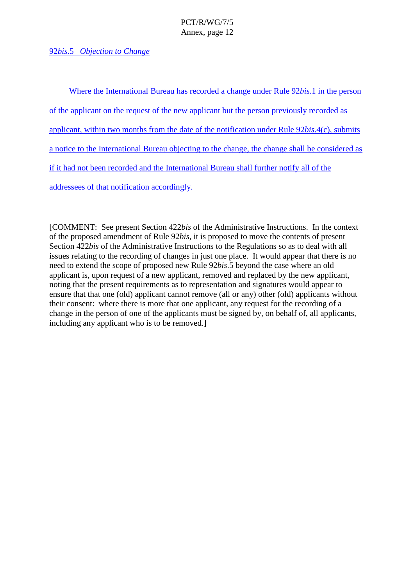# 92*bis*.5 *Objection to Change*

Where the International Bureau has recorded a change under Rule 92*bis*. 1 in the person of the applicant on the request of the n ew applicant but the person previously recorded as applicant, within two months from the date of the notification under Rule 92*bis.*4(c), submits anotice to the International Bureau objecting to the change, the changes hall be considered as if it had not b een recorded and the International Bureau shall further notify all of the addressees of that notification accordingly.

[COMMENT: See present Section 422*bis* of the Administrative Instructions. In the context of the proposed amendment of Rule 92*bis*, it is proposed to move the contents of present Section 422*bis* of the Administrative Instructions to the Regulations so as to deal with all issues relating to the recording of changes in just one place. It would appear that there is no need to extend the scope o f proposed new Rule 92*bis*.5 beyond the case where an old applicantis, upon request of a new applicant, removed and replaced by the new applicant, noting that the present requirements as to representation and signatures would appear to ensure that that one (old) applicant cannot remove (all or any) other (old) applicants without their consent: where the reismore that one applicant, any request for the recording of a change in the person of one of the applicants must be signed by, on behalf of, all applica nts, including any applicant who is to be removed.]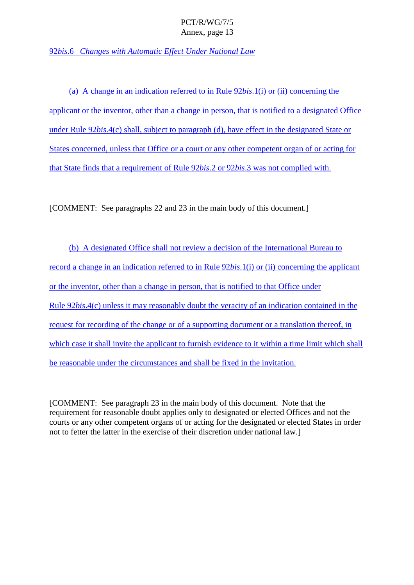92*bis*.6 *Changes with Automatic Effect Under National Law* 

(a) A change in an indication referred to in Rule 92*bis*.1(i) or (ii) concerning the applicant or the inventor, other than a change in person, that is notified to a designated Office under Rule 92*bis*.4(c) shall, subject to paragraph (d), have effect in the designated State or States concerned, unless that Office or a court or any other competent or ganofor acting for that State finds that area uirement of Rule 92*bis*.2 or 92*bis*.3 was not complied with.

[COMMENT:Seeparagraphs 22 and 23 in the main body of this document.]

(b) A designated Office shall not r eview a decision of the International Bureau to record a change in an indication referred to in Rule 92*bis*.1(i) or (ii) concerning the applicant or the inventor, other than a change in person, that is not if ied to that Office under Rule 92*bis*.4(c) unless it may reasonably doubt the veracity of an indication contained in the request for recording of the change or of a supporting document or a translation there of, in which case it shall invite the applicant to furnish evidence to it within a time limit which s hall be reasonable under the circumstances and shall be fixed in the invitation.

[COMMENT: See paragraph 23 in the main body of this document. Note that the requirement for reasonable doubt applies only to desi gnated or elected Offices and not the courts or any other competent organs of or acting for the designated or elected States in order nottofetter the latter in the exercise of their discretion under national law. ]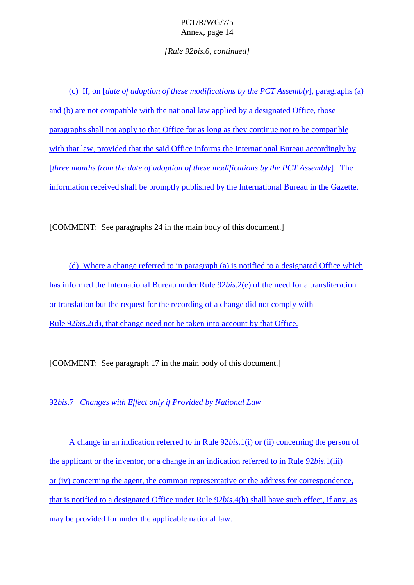*[Rule 92bis.6, continued]*

(c) If, on [ *date of adoption of the sempodifications by the PCTAssembly* [, paragraphs (a) and (b) are not compatible with the national law applied by a designated Office, those paragraphs shall not apply to that Office for as long as they continue not to be compatible with that law, provided that the said Office informs the International Bureau accordingly by [*three months from the date of adoption of these modifications by the PCT Assembly* ]. The information received shall be promptly published by the International Bur eau in the Gazette.

[COMMENT:Seeparagraphs 24inthemainbody of this document.]

(d) Where a changereferred to inparagraph (a) is notified to a designated Office which has informed the International Burea under Rule 92*bis*. 2(e) of the need for a transliteration or translation but the request for the recording of a change did not comply with Rule 92*bis*.2(d), that change need not be taken into account by that Office.

[COMMENT:Seeparagraph 17inthemainbodyofthis document.]

92*bis*.7 *Changes with Effect only if Provided by National Law* 

A change in an indication referred to in Rule 92*bis*.1(i) or (ii) concerning the person of the applicant or the inventor, or a change in an indication referred to in Rule 92*bis*.1(iii) or (iv) concerning the agent, the common representative or the address for correspondence, that is notified to a designated Office under Rule 92*bis*.4(b) shall have such effect, if any, as may be pr ovided for under the applicable national law.